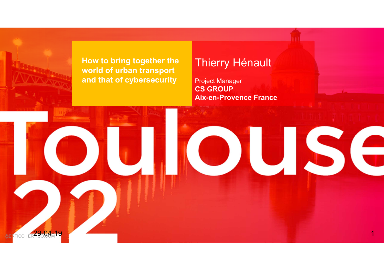

**How to bring together the world of urban transport and that of cybersecurity**

**STATISTICS** 

#### Thierry Hénault

Project Manager **CS GROUP Aix-en-Provence France**

OUSE

**RTICO I ERTHCO 4-19**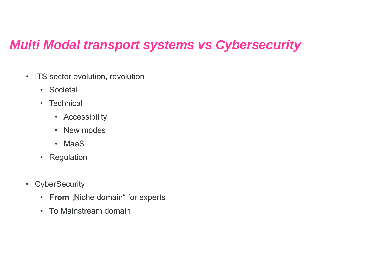### *Multi Modal transport systems vs Cybersecurity*

- ITS sector evolution, revolution
	- Societal
	- Technical
		- Accessibility
		- New modes
		- MaaS
	- Regulation
- CyberSecurity
	- **From** "Niche domain" for experts
	- **To** Mainstream domain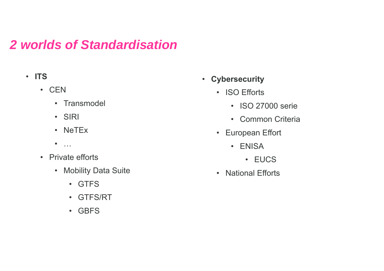### *2 worlds of Standardisation*

- **ITS**
	- CEN
		- Transmodel
		- SIRI
		- NeTEx
		- …
	- Private efforts
		- Mobility Data Suite
			- GTFS
			- GTFS/RT
			- GBFS
- **Cybersecurity**
	- ISO Efforts
		- ISO 27000 serie
		- Common Criteria
	- European Effort
		- ENISA
			- EUCS
	- National Efforts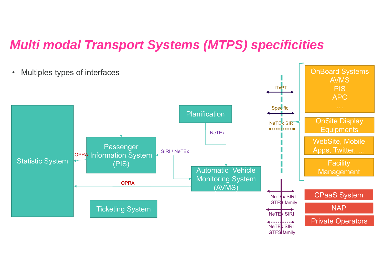#### *Multi modal Transport Systems (MTPS) specificities*

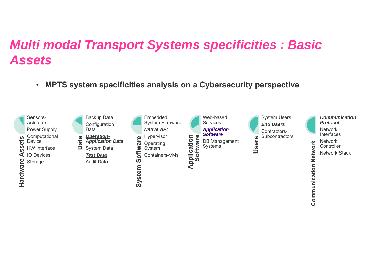# *Multi modal Transport Systems specificities : Basic Assets*

•**MPTS system specificities analysis on <sup>a</sup> Cybersecurity perspective**

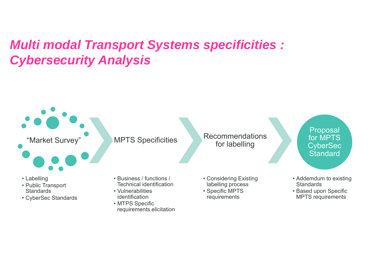# *Multi modal Transport Systems specificities : Cybersecurity Analysis*

"Market Survey"



- Labelling
- Public Transport **Standards**
- CyberSec Standards

**MPTS Specificities** 

- Business / functions / Technical identification
- Vulnerabilities identification
- MTPS Specific requirements elicitation
- Recommendations for labelling
- Considering Existing labelling process
- Specific MPTS requirements
- Proposal for MPTS **CyberSec Standard**
- Addemdum to existing **Standards**
- Based upon Specific MPTS requirements